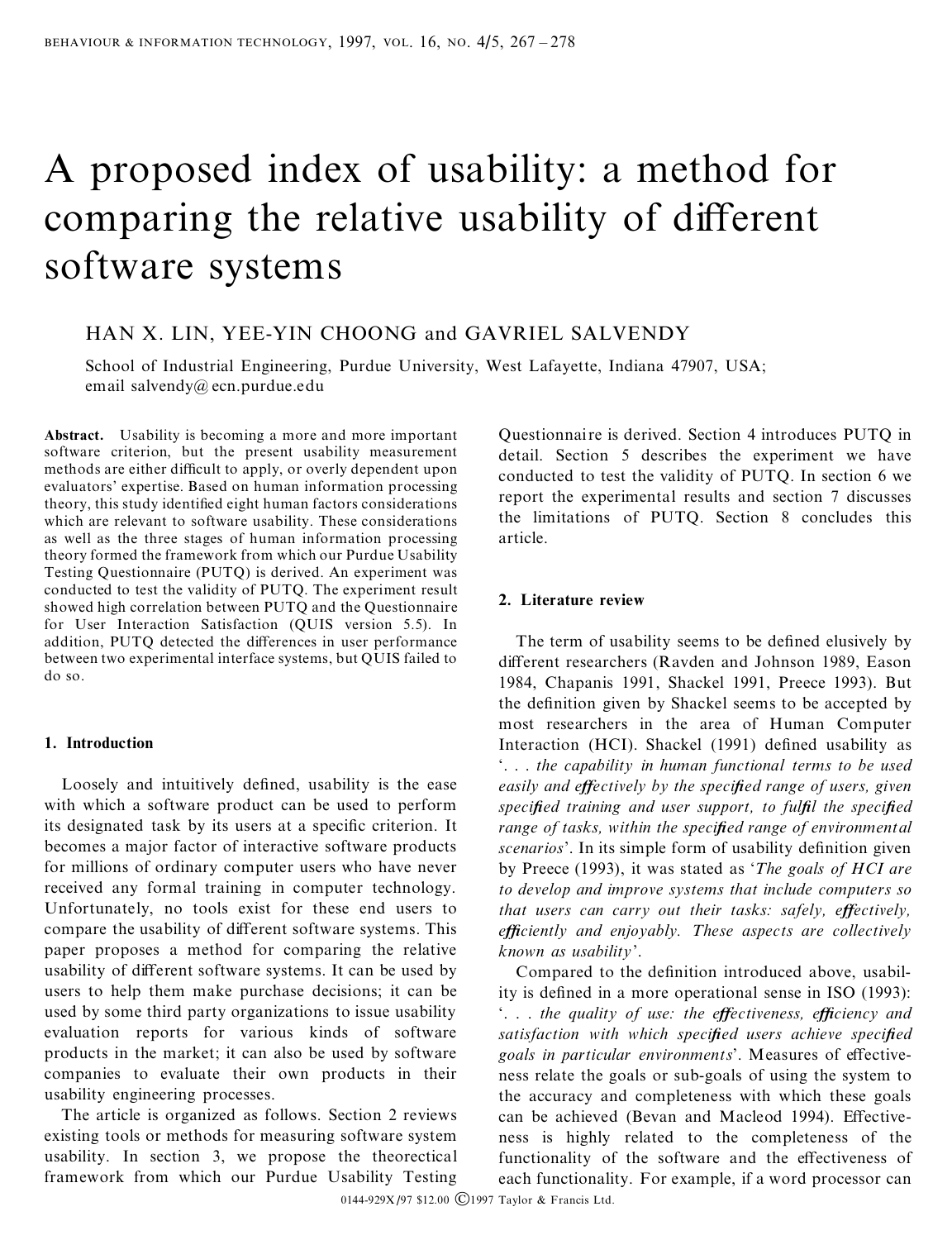# A proposed index of usability: a method for comparing the relative usability of different software systems

## HAN X. LIN, YEE-YIN CHOONG and GAVRIEL SALVENDY

School of Industrial Engineering, Purdue University, West Lafayette, Indiana 47907, USA; email salvendy@ ecn.purdue.edu

**Abstract.** Usability is becoming a more and more important software criterion, but the present usability measurement methods are either difficult to apply, or overly dependent upon evaluators' expertise. Based on human information processing theory, this study identified eight human factors considerations which are relevant to software usability. These considerations as well as the three stages of human information processing theory formed the framework from which our Purdue Usability Testing Questionnaire (PUTQ) is derived. An experiment was conducted to test the validity of PUTQ. The experiment result showed high correlation between PUTQ and the Questionnaire for User Interaction Satisfaction (QUIS version 5.5). In addition, PUTO detected the differences in user performance between two experimental interface systems, but QUIS failed to do so.

#### **1. Introduction**

Loosely and intuitively defined, usability is the ease with which a software product can be used to perform its designated task by its users at a specific criterion. It becomes a major factor of interactive software products for millions of ordinary computer users who have never received any formal training in computer technology. Unfortunately, no tools exist for these end users to compare the usability of different software systems. This paper proposes a method for comparing the relative usability of different software systems. It can be used by users to help them make purchase decisions; it can be used by some third party organizations to issue usability evaluation reports for various kinds of software products in the market; it can also be used by software companies to evaluate their own products in their usability engineering processes.

The article is organized as follows. Section 2 reviews existing tools or methods for measuring software system usability. In section 3, we propose the theorectical framework from which our Purdue Usability Testing

Questionnaire is derived. Section 4 introduces PUTQ in detail. Section 5 describes the experiment we have conducted to test the validity of PUTQ. In section 6 we report the experimental results and section 7 discusses the limitations of PUTQ. Section 8 concludes this article.

#### **2. Literature review**

The term of usability seems to be defined elusively by different researchers (Ravden and Johnson 1989, Eason 1984, Chapanis 1991, Shackel 1991, Preece 1993). But the definition given by Shackel seems to be accepted by most researchers in the area of Human Computer Interaction (HCI). Shackel (1991) defined usability as `. . . *the capability in human functional terms to be used easily and eŒectively by the speci®ed range of users, given speci®ed training and user support, to ful®l the speci®ed range of tasks, within the speci®ed range of environmental* scenarios'. In its simple form of usability definition given by Preece (1993), it was stated as `*The goals of HCI are to develop and improve systems that include computers so that users can carry out their tasks: safely, effectively, e ciently and enjoyably. These aspects are collectively known as usability*'.

Compared to the definition introduced above, usability is defined in a more operational sense in ISO (1993): `. . . *the quality of use: the eŒectiveness, e ciency and satisfaction* with which *specified users achieve specified goals in particular environments'*. Measures of effectiveness relate the goals or sub-goals of using the system to the accuracy and completeness with which these goals can be achieved (Bevan and Macleod 1994). Effectiveness is highly related to the completeness of the functionality of the software and the effectiveness of each functionality. For example, if a word processor can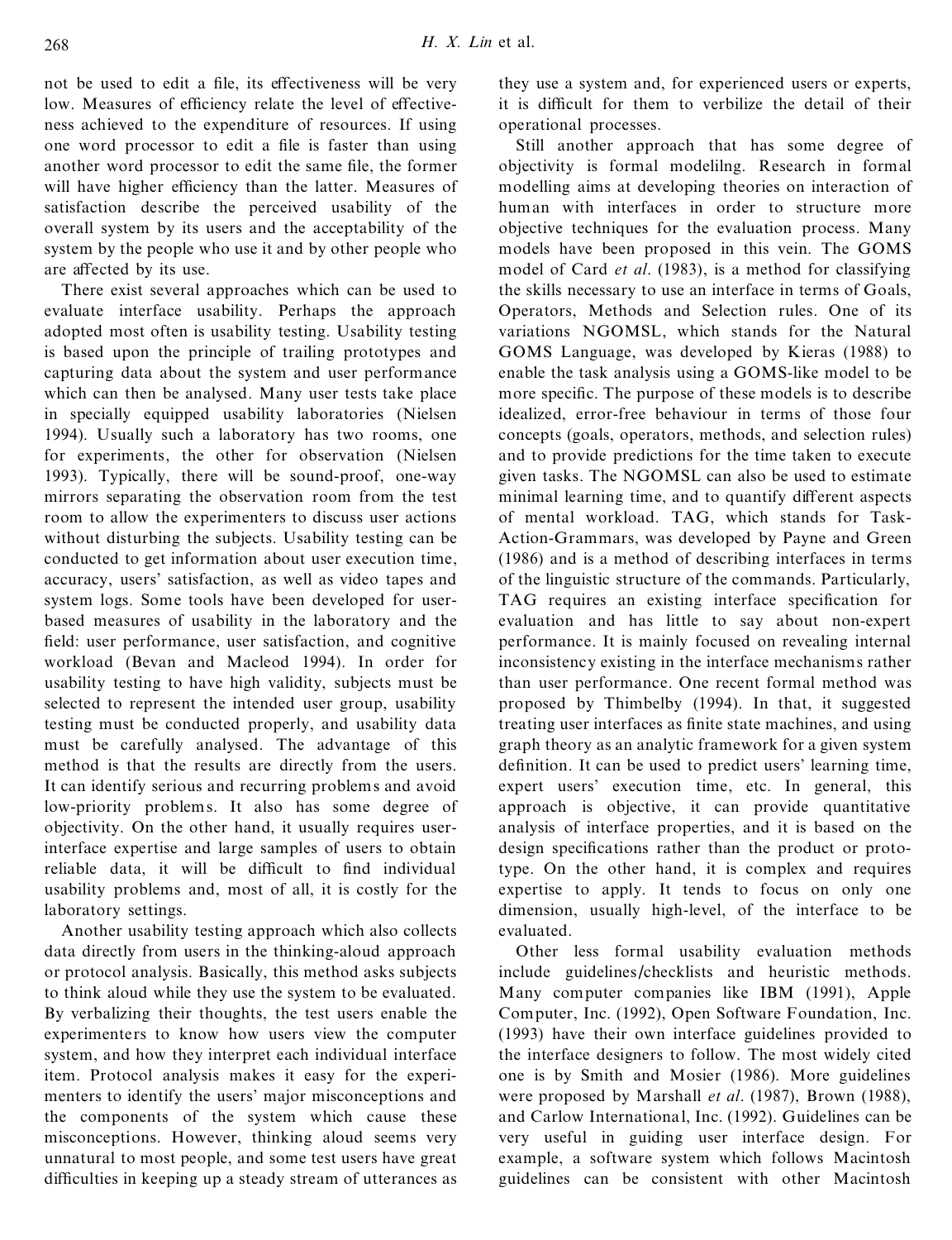not be used to edit a file, its effectiveness will be very low. Measures of efficiency relate the level of effectiveness achieved to the expenditure of resources. If using one word processor to edit a file is faster than using another word processor to edit the same file, the former will have higher efficiency than the latter. Measures of satisfaction describe the perceived usability of the overall system by its users and the acceptability of the system by the people who use it and by other people who are affected by its use.

There exist several approaches which can be used to evaluate interface usability. Perhaps the approach adopted most often is usability testing. Usability testing is based upon the principle of trailing prototypes and capturing data about the system and user performance which can then be analysed. Many user tests take place in specially equipped usability laboratories (Nielsen 1994). Usually such a laboratory has two rooms, one for experiments, the other for observation (Nielsen 1993). Typically, there will be sound-proof, one-way mirrors separating the observation room from the test room to allow the experimenters to discuss user actions without disturbing the subjects. Usability testing can be conducted to get information about user execution time, accuracy, users' satisfaction, as well as video tapes and system logs. Some tools have been developed for userbased measures of usability in the laboratory and the field: user performance, user satisfaction, and cognitive workload (Bevan and Macleod 1994). In order for usability testing to have high validity, subjects must be selected to represent the intended user group, usability testing must be conducted properly, and usability data must be carefully analysed. The advantage of this method is that the results are directly from the users. It can identify serious and recurring problems and avoid low-priority problems. It also has some degree of objectivity. On the other hand, it usually requires userinterface expertise and large samples of users to obtain reliable data, it will be difficult to find individual usability problems and, most of all, it is costly for the laboratory settings.

Another usability testing approach which also collects data directly from users in the thinking-aloud approach or protocol analysis. Basically, this method asks subjects to think aloud while they use the system to be evaluated. By verbalizing their thoughts, the test users enable the experimenters to know how users view the computer system, and how they interpret each individual interface item. Protocol analysis makes it easy for the experimenters to identify the users' major misconceptions and the components of the system which cause these misconceptions. However, thinking aloud seems very unnatural to most people, and some test users have great difficulties in keeping up a steady stream of utterances as

they use a system and, for experienced users or experts, it is difficult for them to verbilize the detail of their operational processes.

Still another approach that has some degree of objectivity is formal modelilng. Research in formal modelling aims at developing theories on interaction of human with interfaces in order to structure more objective techniques for the evaluation process. Many models have been proposed in this vein. The GOMS model of Card *et al*. (1983), is a method for classifying the skills necessary to use an interface in terms of Goals, Operators, Methods and Selection rules. One of its variations NGOMSL, which stands for the Natural GOMS Language, was developed by Kieras (1988) to enable the task analysis using a GOMS-like model to be more specific. The purpose of these models is to describe idealized, error-free behaviour in terms of those four concepts (goals, operators, methods, and selection rules) and to provide predictions for the time taken to execute given tasks. The NGOMSL can also be used to estimate minimal learning time, and to quantify different aspects of mental workload. TAG, which stands for Task-Action-Grammars, was developed by Payne and Green (1986) and is a method of describing interfaces in terms of the linguistic structure of the commands. Particularly, TAG requires an existing interface specification for evaluation and has little to say about non-expert performance. It is mainly focused on revealing internal inconsistency existing in the interface mechanisms rather than user performance. One recent formal method was proposed by Thimbelby (1994). In that, it suggested treating user interfaces as finite state machines, and using graph theory as an analytic framework for a given system definition. It can be used to predict users' learning time, expert users' execution time, etc. In general, this approach is objective, it can provide quantitative analysis of interface properties, and it is based on the design specifications rather than the product or prototype. On the other hand, it is complex and requires expertise to apply. It tends to focus on only one dimension, usually high-level, of the interface to be evaluated.

Other less formal usability evaluation methods include guidelines/checklists and heuristic methods. Many computer companies like IBM (1991), Apple Computer, Inc. (1992), Open Software Foundation, Inc. (1993) have their own interface guidelines provided to the interface designers to follow. The most widely cited one is by Smith and Mosier (1986). More guidelines were proposed by Marshall *et al*. (1987), Brown (1988), and Carlow International, Inc. (1992). Guidelines can be very useful in guiding user interface design. For example, a software system which follows Macintosh guidelines can be consistent with other Macintosh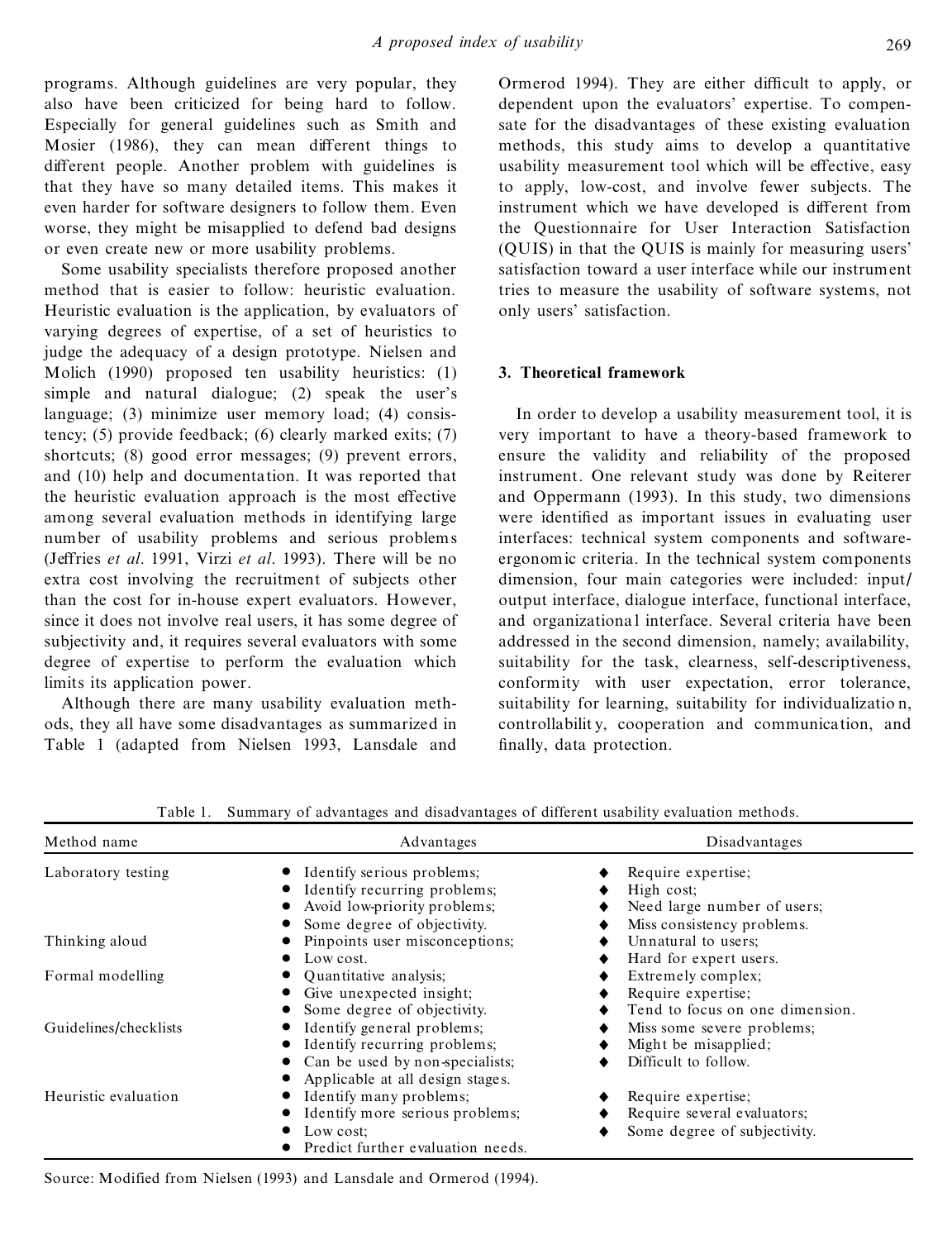programs. Although guidelines are very popular, they also have been criticized for being hard to follow. Especially for general guidelines such as Smith and Mosier (1986), they can mean different things to different people. Another problem with guidelines is that they have so many detailed items. This makes it even harder for software designers to follow them. Even worse, they might be misapplied to defend bad designs or even create new or more usability problems.

Some usability specialists therefore proposed another method that is easier to follow: heuristic evaluation. Heuristic evaluation is the application, by evaluators of varying degrees of expertise, of a set of heuristics to judge the adequacy of a design prototype. Nielsen and Molich (1990) proposed ten usability heuristics: (1) simple and natural dialogue; (2) speak the user's language; (3) minimize user memory load; (4) consistency; (5) provide feedback; (6) clearly marked exits; (7) shortcuts; (8) good error messages; (9) prevent errors, and (10) help and documentation. It was reported that the heuristic evaluation approach is the most effective among several evaluation methods in identifying large number of usability problems and serious problems (Jeffries *et al.* 1991, Virzi *et al.* 1993). There will be no extra cost involving the recruitment of subjects other than the cost for in-house expert evaluators. However, since it does not involve real users, it has some degree of subjectivity and, it requires several evaluators with some degree of expertise to perform the evaluation which limits its application power.

Although there are many usability evaluation methods, they all have some disadvantages as summarized in Table 1 (adapted from Nielsen 1993, Lansdale and Ormerod 1994). They are either difficult to apply, or dependent upon the evaluators' expertise. To compensate for the disadvantages of these existing evaluation methods, this study aims to develop a quantitative usability measurement tool which will be effective, easy to apply, low-cost, and involve fewer subjects. The instrument which we have developed is different from the Questionnaire for User Interaction Satisfaction (QUIS) in that the QUIS is mainly for measuring users' satisfaction toward a user interface while our instrument tries to measure the usability of software systems, not only users' satisfaction.

## **3. Theoretical framework**

In order to develop a usability measurement tool, it is very important to have a theory-based framework to ensure the validity and reliability of the proposed instrument. One relevant study was done by Reiterer and Oppermann (1993). In this study, two dimensions were identified as important issues in evaluating user interfaces: technical system components and softwareergonomic criteria. In the technical system components dimension, four main categories were included: input/ output interface, dialogue interface, functional interface, and organizationa l interface. Several criteria have been addressed in the second dimension, namely; availability, suitability for the task, clearness, self-descriptiveness, conformity with user expectation, error tolerance, suitability for learning, suitability for individualizatio n, controllabilit y, cooperation and communication, and finally, data protection.

| Method name           | Advantages                        | Disadvantages                   |  |  |
|-----------------------|-----------------------------------|---------------------------------|--|--|
| Laboratory testing    | Identify serious problems;        | Require expertise;              |  |  |
|                       | Identify recurring problems;      | High cost:                      |  |  |
|                       | Avoid low-priority problems;      | Need large number of users;     |  |  |
|                       | Some degree of objectivity.       | Miss consistency problems.      |  |  |
| Thinking aloud        | Pinpoints user misconceptions;    | Unnatural to users;             |  |  |
|                       | Low cost.                         | Hard for expert users.          |  |  |
| Formal modelling      | Quantitative analysis;            | Extremely complex;              |  |  |
|                       | Give unexpected insight;          | Require expertise;              |  |  |
|                       | Some degree of objectivity.       | Tend to focus on one dimension. |  |  |
| Guidelines/checklists | Identify general problems;        | Miss some severe problems;      |  |  |
|                       | Identify recurring problems;      | Might be misapplied;            |  |  |
|                       | Can be used by non-specialists;   | Difficult to follow.            |  |  |
|                       | Applicable at all design stages.  |                                 |  |  |
| Heuristic evaluation  | Identify many problems;           | Require expertise;              |  |  |
|                       | Identify more serious problems;   | Require several evaluators;     |  |  |
|                       | Low cost:                         | Some degree of subjectivity.    |  |  |
|                       | Predict further evaluation needs. |                                 |  |  |

Table 1. Summary of advantages and disadvantages of different usability evaluation methods.

Source: Modified from Nielsen (1993) and Lansdale and Ormerod (1994).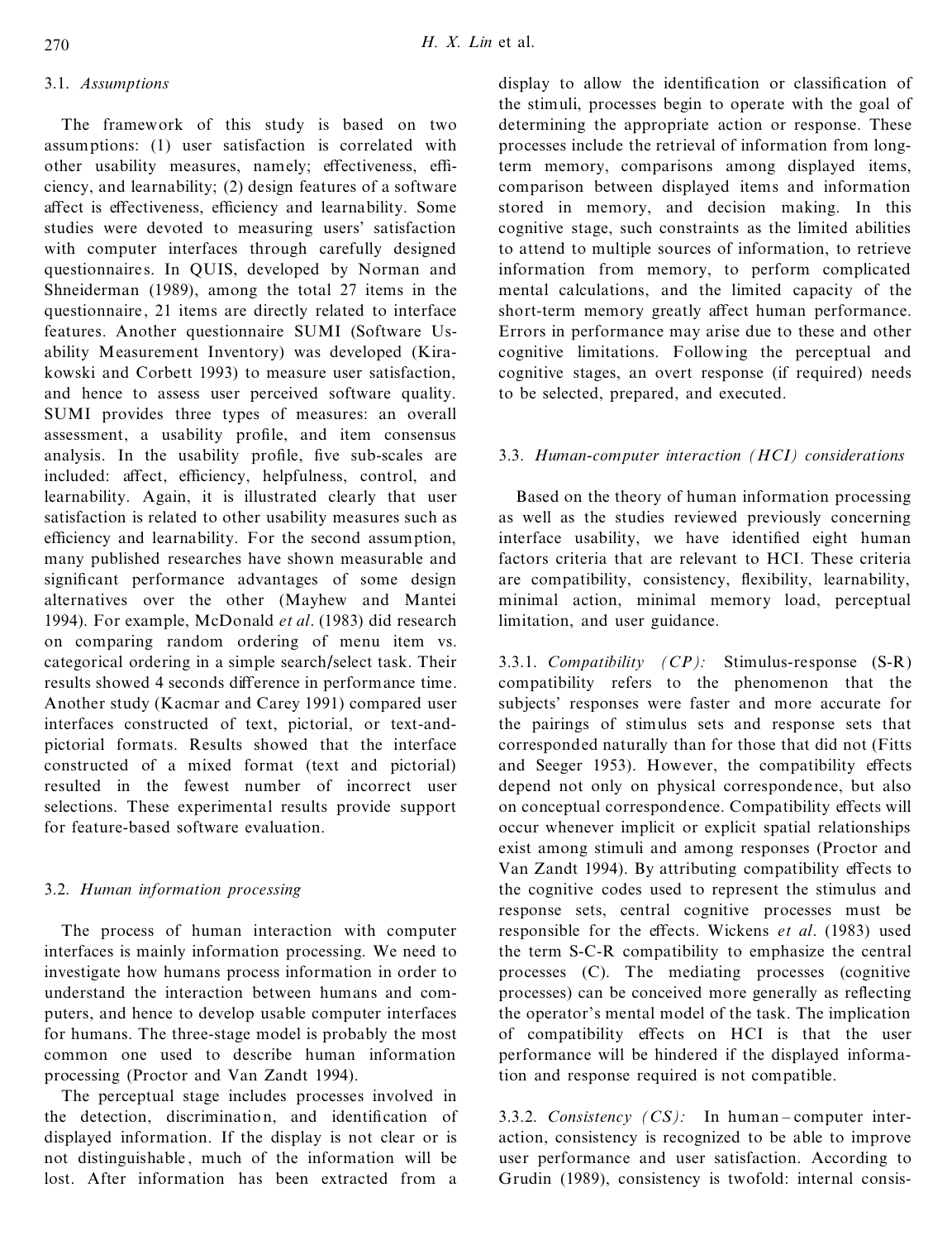## 3.1. *Assumptions*

The framework of this study is based on two assumptions: (1) user satisfaction is correlated with other usability measures, namely; effectiveness, efficiency, and learnability; (2) design features of a software affect is effectiveness, efficiency and learnability. Some studies were devoted to measuring users' satisfaction with computer interfaces through carefully designed questionnaires. In QUIS, developed by Norman and Shneiderman (1989), among the total 27 items in the questionnaire. 21 items are directly related to interface features. Another questionnaire SUMI (Software Usability Measurement Inventory) was developed (Kirakowski and Corbett 1993) to measure user satisfaction, and hence to assess user perceived software quality. SUMI provides three types of measures: an overall assessment, a usability profile, and item consensus analysis. In the usability profile, five sub-scales are included: affect, efficiency, helpfulness, control, and learnability. Again, it is illustrated clearly that user satisfaction is related to other usability measures such as efficiency and learnability. For the second assumption, many published researches have shown measurable and significant performance advantages of some design alternatives over the other (Mayhew and Mantei 1994). For example, McDonald *et al*. (1983) did research on comparing random ordering of menu item vs. categorical ordering in a simple search/select task. Their results showed 4 seconds difference in performance time. Another study (Kacmar and Carey 1991) compared user interfaces constructed of text, pictorial, or text-andpictorial formats. Results showed that the interface constructed of a mixed format (text and pictorial) resulted in the fewest number of incorrect user selections. These experimental results provide support for feature-based software evaluation.

## 3.2. *Human information processing*

The process of human interaction with computer interfaces is mainly information processing. We need to investigate how humans process information in order to understand the interaction between humans and computers, and hence to develop usable computer interfaces for humans. The three-stage model is probably the most common one used to describe human information processing (Proctor and Van Zandt 1994).

The perceptual stage includes processes involved in the detection, discrimination, and identification of displayed information. If the display is not clear or is not distinguishable , much of the information will be lost. After information has been extracted from a

display to allow the identification or classification of the stimuli, processes begin to operate with the goal of determining the appropriate action or response. These processes include the retrieval of information from longterm memory, comparisons among displayed items, comparison between displayed items and information stored in memory, and decision making. In this cognitive stage, such constraints as the limited abilities to attend to multiple sources of information, to retrieve information from memory, to perform complicated mental calculations, and the limited capacity of the short-term memory greatly affect human performance. Errors in performance may arise due to these and other cognitive limitations. Following the perceptual and cognitive stages, an overt response (if required) needs to be selected, prepared, and executed.

#### 3.3. *Human-computer interaction (HCI) considerations*

Based on the theory of human information processing as well as the studies reviewed previously concerning interface usability, we have identified eight human factors criteria that are relevant to HCI. These criteria are compatibility, consistency, flexibility, learnability, minimal action, minimal memory load, perceptual limitation, and user guidance.

3.3.1. *Compatibility (CP):* Stimulus-response (S-R) compatibility refers to the phenomenon that the subjects' responses were faster and more accurate for the pairings of stimulus sets and response sets that corresponded naturally than for those that did not (Fitts and Seeger 1953). However, the compatibility effects depend not only on physical correspondence, but also on conceptual correspondence. Compatibility effects will occur whenever implicit or explicit spatial relationships exist among stimuli and among responses (Proctor and Van Zandt 1994). By attributing compatibility effects to the cognitive codes used to represent the stimulus and response sets, central cognitive processes must be responsible for the effects. Wickens *et al.* (1983) used the term S-C-R compatibility to emphasize the central processes (C). The mediating processes (cognitive processes) can be conceived more generally as reflecting the operator's mental model of the task. The implication of compatibility effects on HCI is that the user performance will be hindered if the displayed information and response required is not compatible.

3.3.2. *Consistency (CS)*: In human-computer interaction, consistency is recognized to be able to improve user performance and user satisfaction. According to Grudin (1989), consistency is twofold: internal consis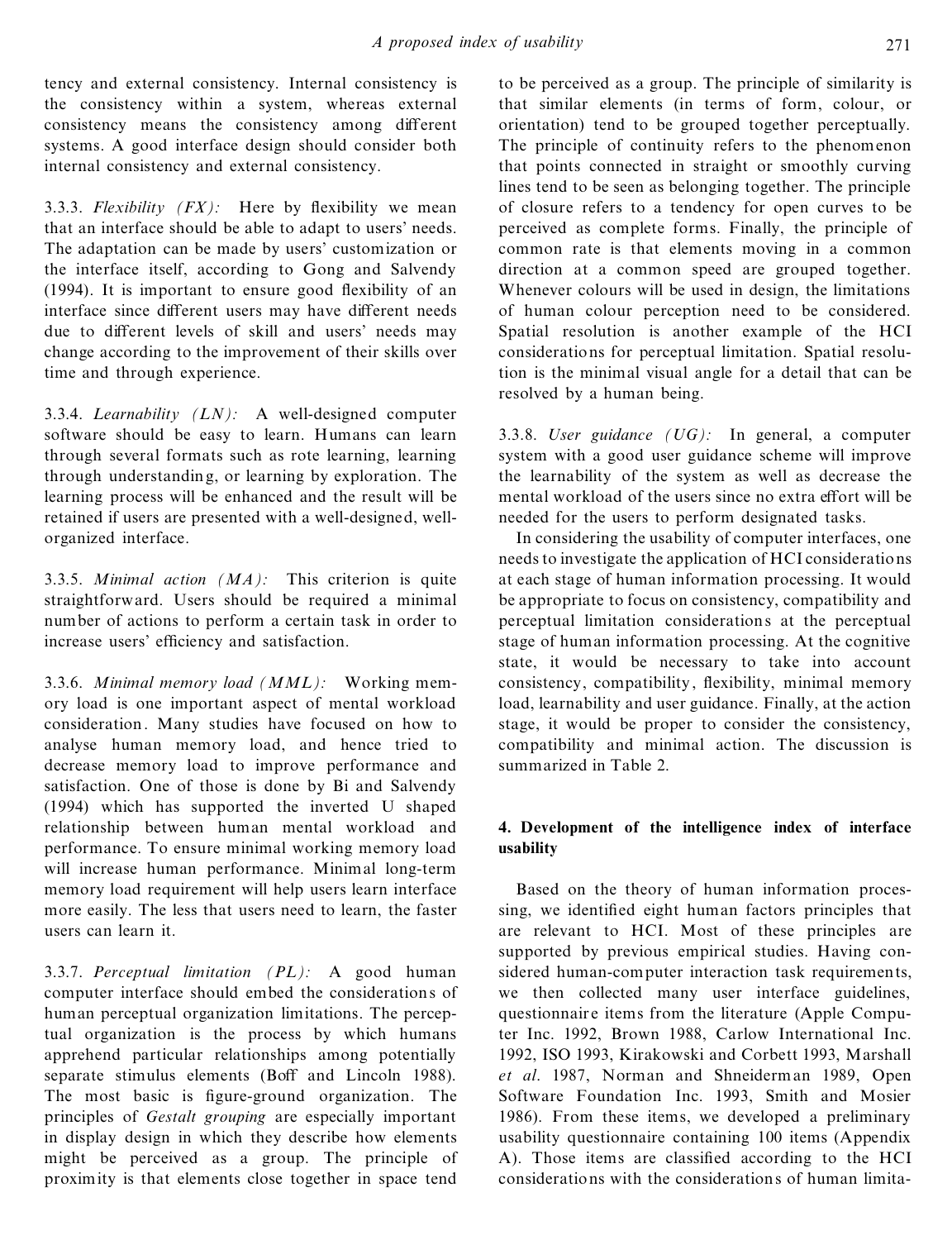tency and external consistency. Internal consistency is the consistency within a system, whereas external consistency means the consistency among different systems. A good interface design should consider both internal consistency and external consistency.

3.3.3. *Flexibility*  $(FX)$ : Here by flexibility we mean that an interface should be able to adapt to users' needs. The adaptation can be made by users' customization or the interface itself, according to Gong and Salvendy  $(1994)$ . It is important to ensure good flexibility of an interface since different users may have different needs due to different levels of skill and users' needs may change according to the improvement of their skills over time and through experience.

3.3.4. *Learnability (LN):* A well-designed computer software should be easy to learn. Humans can learn through several formats such as rote learning, learning through understanding, or learning by exploration. The learning process will be enhanced and the result will be retained if users are presented with a well-designed, wellorganized interface.

3.3.5. *Minimal action (MA):* This criterion is quite straightforward. Users should be required a minimal number of actions to perform a certain task in order to increase users' efficiency and satisfaction.

3.3.6. *Minimal memory load (MML):* Working memory load is one important aspect of mental workload consideration. Many studies have focused on how to analyse human memory load, and hence tried to decrease memory load to improve performance and satisfaction. One of those is done by Bi and Salvendy (1994) which has supported the inverted U shaped relationship between human mental workload and performance. To ensure minimal working memory load will increase human performance. Minimal long-term memory load requirement will help users learn interface more easily. The less that users need to learn, the faster users can learn it.

3.3.7. *Perceptual limitation (PL):* A good human computer interface should embed the considerations of human perceptual organization limitations. The perceptual organization is the process by which humans apprehend particular relationships among potentially separate stimulus elements (Boff and Lincoln 1988). The most basic is figure-ground organization. The principles of *Gestalt grouping* are especially important in display design in which they describe how elements might be perceived as a group. The principle of proximity is that elements close together in space tend to be perceived as a group. The principle of similarity is that similar elements (in terms of form, colour, or orientation) tend to be grouped together perceptually. The principle of continuity refers to the phenomenon that points connected in straight or smoothly curving lines tend to be seen as belonging together. The principle of closure refers to a tendency for open curves to be perceived as complete forms. Finally, the principle of common rate is that elements moving in a common direction at a common speed are grouped together. Whenever colours will be used in design, the limitations of human colour perception need to be considered. Spatial resolution is another example of the HCI considerations for perceptual limitation. Spatial resolution is the minimal visual angle for a detail that can be resolved by a human being.

3.3.8. *User guidance (UG):* In general, a computer system with a good user guidance scheme will improve the learnability of the system as well as decrease the mental workload of the users since no extra effort will be needed for the users to perform designated tasks.

In considering the usability of computer interfaces, one needs to investigate the application of HCI considerations at each stage of human information processing. It would be appropriate to focus on consistency, compatibility and perceptual limitation considerations at the perceptual stage of human information processing. At the cognitive state, it would be necessary to take into account consistency, compatibility, flexibility, minimal memory load, learnability and user guidance. Finally, at the action stage, it would be proper to consider the consistency, compatibility and minimal action. The discussion is summarized in Table 2.

## **4. Development of the intelligence index of interface usability**

Based on the theory of human information processing, we identified eight human factors principles that are relevant to HCI. Most of these principles are supported by previous empirical studies. Having considered human-computer interaction task requirements, we then collected many user interface guidelines, questionnaire items from the literature (Apple Computer Inc. 1992, Brown 1988, Carlow International Inc. 1992, ISO 1993, Kirakowski and Corbett 1993, Marshall *et al*. 1987, Norman and Shneiderman 1989, Open Software Foundation Inc. 1993, Smith and Mosier 1986). From these items, we developed a preliminary usability questionnaire containing 100 items (Appendix A). Those items are classified according to the HCI considerations with the considerations of human limita-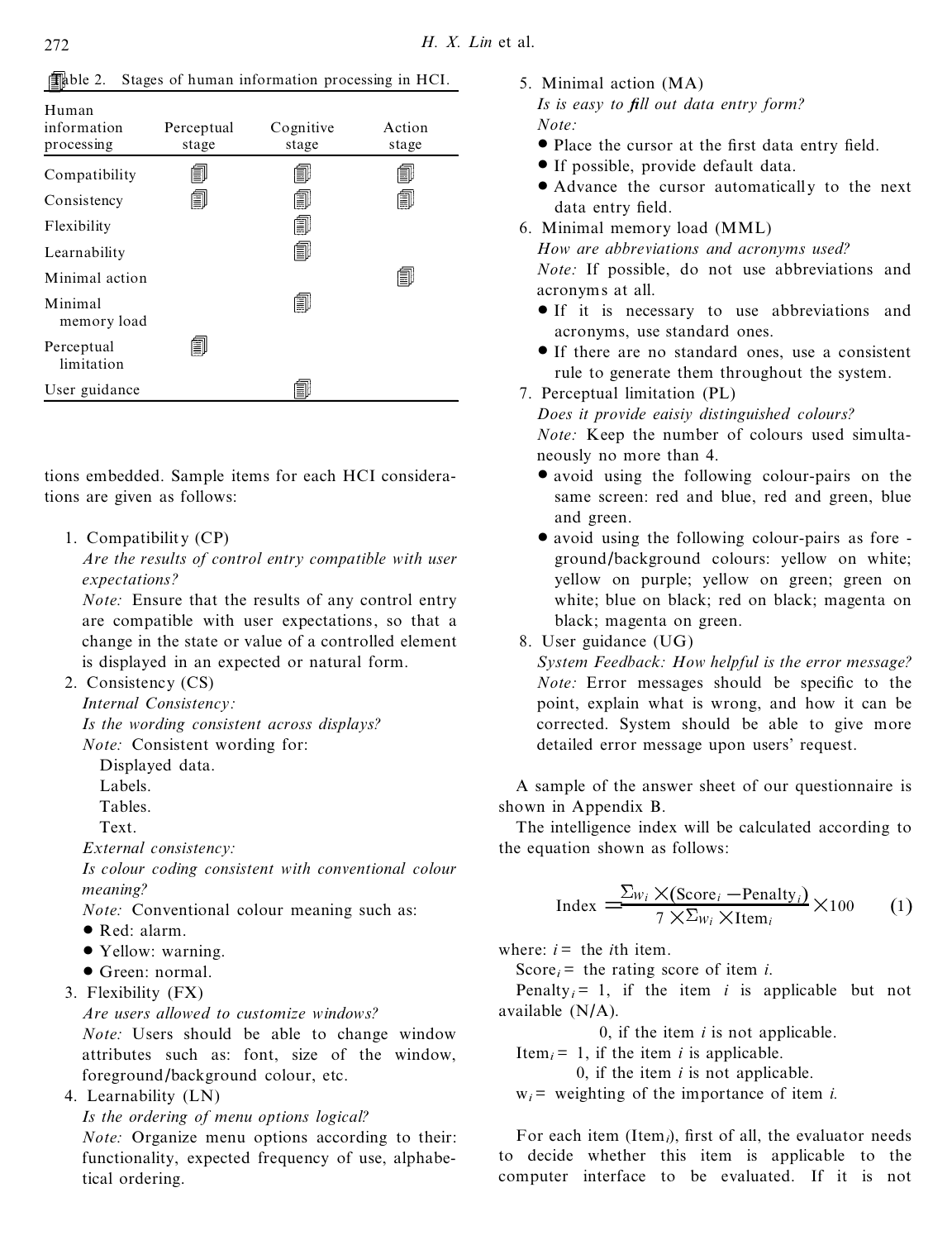| Human                    |            |           |        |
|--------------------------|------------|-----------|--------|
| information              | Perceptual | Cognitive | Action |
| processing               | stage      | stage     | stage  |
| Compatibility            | ΞIJ        | I         | O      |
| Consistency              | ð          | ð         | O      |
| Flexibility              |            | O         |        |
| Learnability             |            | f)        |        |
| Minimal action           |            |           | ð      |
| Minimal<br>memory load   |            | O         |        |
| Perceptual<br>limitation | ð,         |           |        |
| User guidance            |            | ≣         |        |

Table 2. Stages of human information processing in HCI.

tions embedded. Sample items for each HCI considerations are given as follows:

1. Compatibility (CP)

*Are the results of control entry compatible with user expectations?*

*Note:* Ensure that the results of any control entry are compatible with user expectations, so that a change in the state or value of a controlled element is displayed in an expected or natural form.

2. Consistency (CS)

*Internal Consistency:*

*Is the wording consistent across displays? Note:* Consistent wording for:

Displayed data.

Labels.

Tables.

Text.

*External consistency:*

*Is colour coding consistent with conventional colour meaning?*

*Note:* Conventional colour meaning such as:

- Red: alarm.
- Yellow: warning.
- · Green: normal.
- 3. Flexibility (FX)

*Are users allowed to customize windows?*

*Note:* Users should be able to change window attributes such as: font, size of the window, foreground/background colour, etc.

4. Learnability (LN)

*Is the ordering of menu options logical?*

*Note:* Organize menu options according to their: functionality, expected frequency of use, alphabetical ordering.

- 5. Minimal action (MA)
- *Is is easy to ®ll out data entry form? Note:*
- Place the cursor at the first data entry field.
- · If possible, provide default data.
- · Advance the cursor automatically to the next data entry field.
- 6. Minimal memory load (MML) *How are abbreviations and acronyms used? Note:* If possible, do not use abbreviations and

acronyms at all.

- · If it is necessary to use abbreviations and acronyms, use standard ones.
- · If there are no standard ones, use a consistent rule to generate them throughout the system.
- 7. Perceptual limitation (PL)

*Does it provide eaisiy distinguished colours?*

*Note:* Keep the number of colours used simultaneously no more than 4.

- avoid using the following colour-pairs on the same screen: red and blue, red and green, blue and green.
- avoid using the following colour-pairs as fore ground/background colours: yellow on white; yellow on purple; yellow on green; green on white; blue on black; red on black; magenta on black; magenta on green.

8. User guidance (UG)

*System Feedback: How helpful is the error message? Note:* Error messages should be specific to the point, explain what is wrong, and how it can be corrected. System should be able to give more detailed error message upon users' request.

A sample of the answer sheet of our questionnaire is shown in Appendix B.

The intelligence index will be calculated according to the equation shown as follows:

$$
Index = \frac{\sum_{W_i} \times (\text{Score}_i - \text{Penalty}_i)}{7 \times \sum_{W_i} \times \text{Item}_i} \times 100 \qquad (1)
$$

where:  $i =$  the *i*th item.

Score $i$  = the rating score of item *i*.

Penalty $i = 1$ , if the item *i* is applicable but not available (N/A).

0, if the item *i* is not applicable.

Item<sub>*i*</sub> = 1, if the item *i* is applicable.

0, if the item  $i$  is not applicable.

 $w_i$ <sup>=</sup> weighting of the importance of item *i*.

For each item (Item<sub>i</sub>), first of all, the evaluator needs to decide whether this item is applicable to the computer interface to be evaluated. If it is not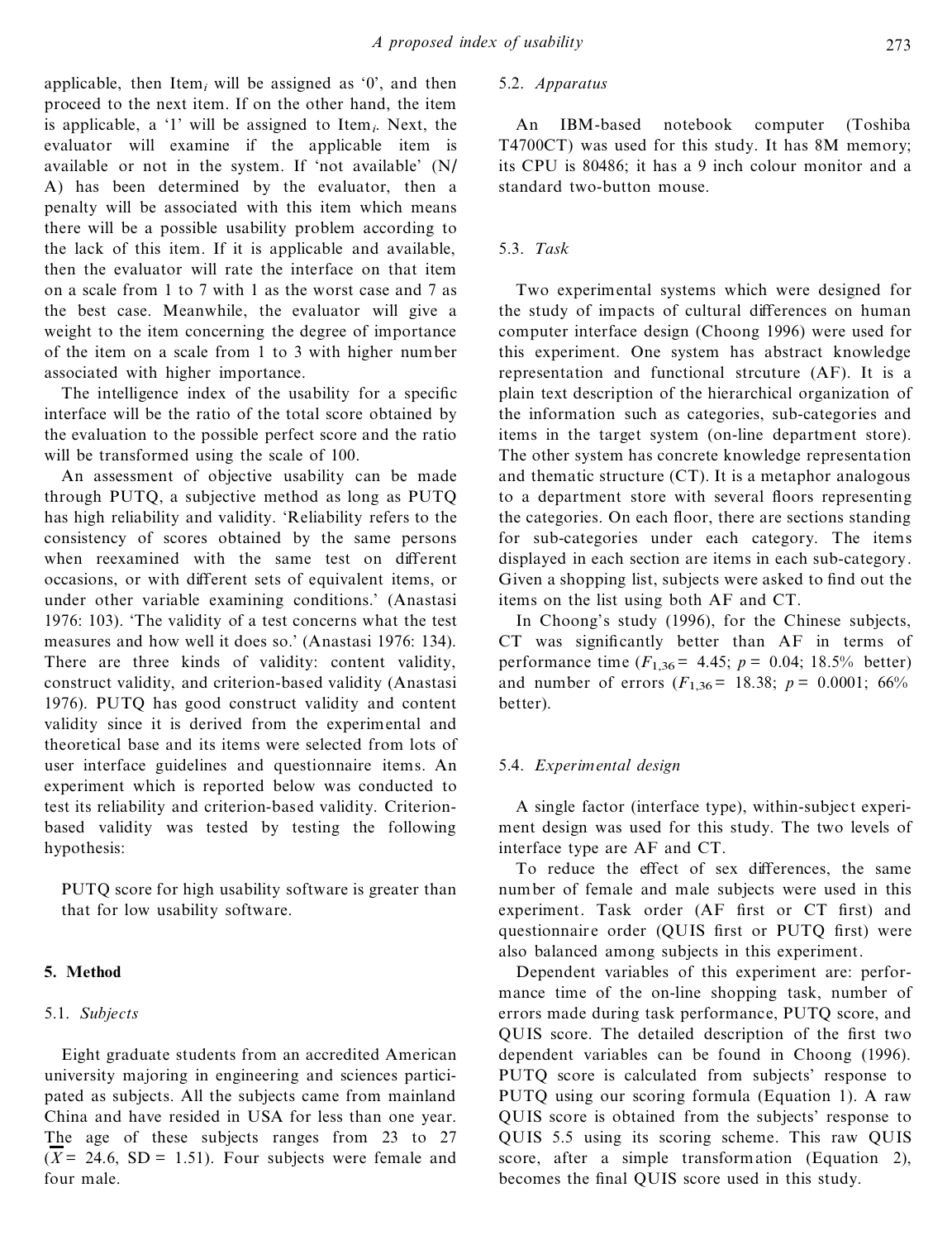applicable, then Item<sub>i</sub> will be assigned as  $\theta$ , and then proceed to the next item. If on the other hand, the item is applicable, a `1' will be assigned to Item*i*. Next, the evaluator will examine if the applicable item is available or not in the system. If 'not available' (N/ A) has been determined by the evaluator, then a penalty will be associated with this item which means there will be a possible usability problem according to the lack of this item. If it is applicable and available, then the evaluator will rate the interface on that item on a scale from 1 to 7 with 1 as the worst case and 7 as the best case. Meanwhile, the evaluator will give a weight to the item concerning the degree of importance of the item on a scale from 1to 3 with higher number associated with higher importance.

The intelligence index of the usability for a specific interface will be the ratio of the total score obtained by the evaluation to the possible perfect score and the ratio will be transformed using the scale of 100.

An assessment of objective usability can be made through PUTQ, a subjective method as long as PUTQ has high reliability and validity. `Reliability refers to the consistency of scores obtained by the same persons when reexamined with the same test on different occasions, or with different sets of equivalent items, or under other variable examining conditions.' (Anastasi 1976: 103). `The validity of a test concerns what the test measures and how well it does so.' (Anastasi 1976: 134). There are three kinds of validity: content validity, construct validity, and criterion-based validity (Anastasi 1976). PUTQ has good construct validity and content validity since it is derived from the experimental and theoretical base and its items were selected from lots of user interface guidelines and questionnaire items. An experiment which is reported below was conducted to test its reliability and criterion-based validity. Criterionbased validity was tested by testing the following hypothesis:

PUTQ score for high usability software is greater than that for low usability software.

## **5. Method**

#### 5.1. *Subjects*

Eight graduate students from an accredited American university majoring in engineering and sciences participated as subjects. All the subjects came from mainland China and have resided in USA for less than one year. The age of these subjects ranges from 23 to 27  $(\overline{X} = 24.6, SD = 1.51)$ . Four subjects were female and four male.

## 5.2. *Apparatus*

An IBM-based notebook computer (Toshiba T4700CT) was used for this study. It has 8M memory; its CPU is 80486; it has a 9 inch colour monitor and a standard two-button mouse.

#### 5.3. *Task*

Two experimental systems which were designed for the study of impacts of cultural differences on human computer interface design (Choong 1996) were used for this experiment. One system has abstract knowledge representation and functional strcuture (AF). It is a plain text description of the hierarchical organization of the information such as categories, sub-categories and items in the target system (on-line department store). The other system has concrete knowledge representation and thematic structure (CT). It is a metaphor analogous to a department store with several floors representing the categories. On each floor, there are sections standing for sub-categories under each category. The items displayed in each section are items in each sub-category. Given a shopping list, subjects were asked to find out the items on the list using both AF and CT.

In Choong's study (1996), for the Chinese subjects, CT was significantly better than AF in terms of performance time  $(F_{1,36} = 4.45; p = 0.04; 18.5%$  better) and number of errors  $(F_{1,36} = 18.38; p = 0.0001; 66\%$ better).

#### 5.4. *Experimental design*

A single factor (interface type), within-subject experi ment design was used for this study. The two levels of interface type are AF and CT.

To reduce the effect of sex differences, the same number of female and male subjects were used in this experiment. Task order (AF first or CT first) and questionnaire order (QUIS first or PUTQ first) were also balanced among subjects in this experiment.

Dependent variables of this experiment are: perfor mance time of the on-line shopping task, number of errors made during task performance, PUTQ score, and QUIS score. The detailed description of the first two dependent variables can be found in Choong (1996). PUTQ score is calculated from subjects' response to PUTQ using our scoring formula (Equation 1). A raw QUIS score is obtained from the subjects' response to QUIS 5.5 using its scoring scheme. This raw QUIS score, after a simple transformation (Equation 2), becomes the final QUIS score used in this study.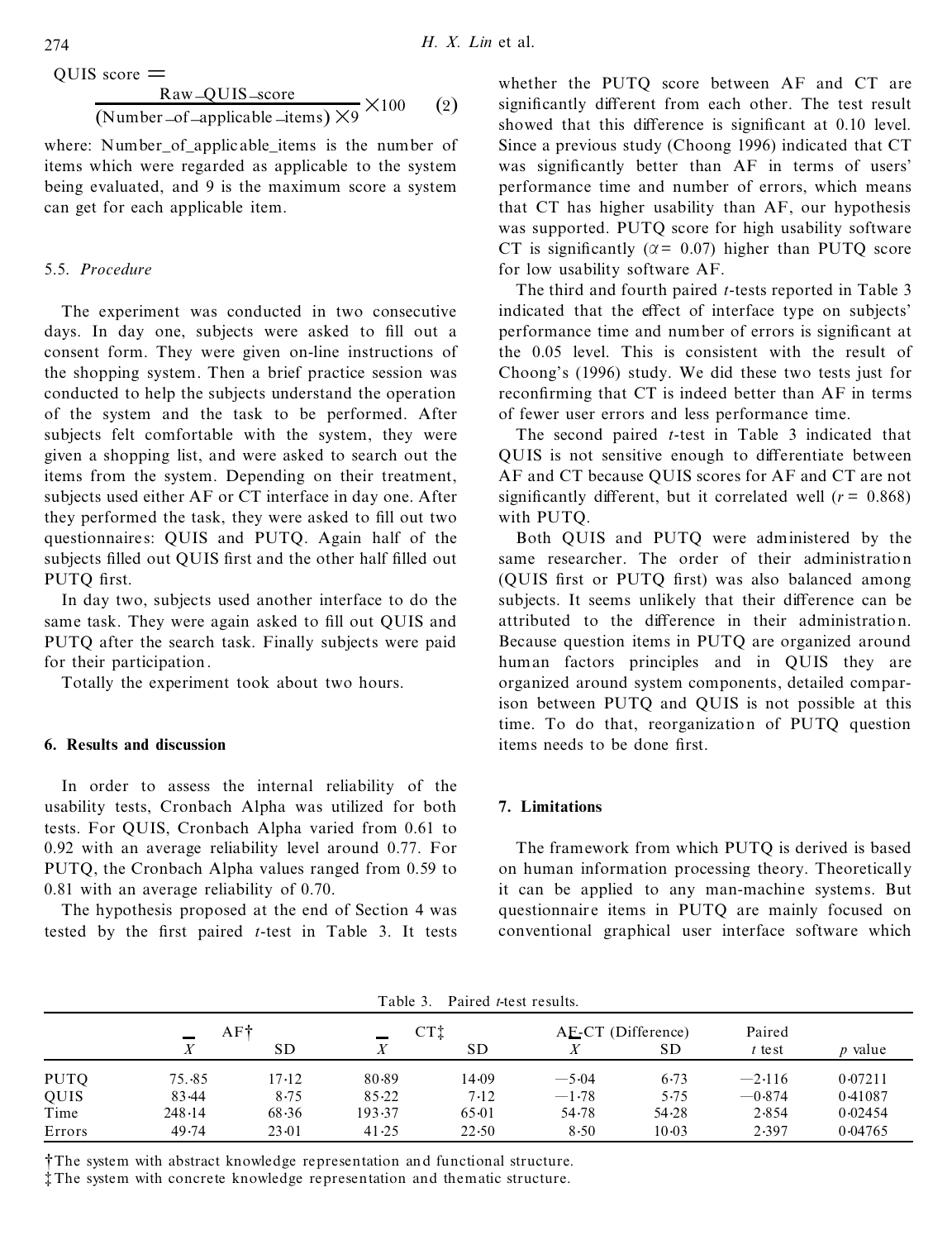$\overline{\text{OUIS}}$  score  $=$ 

$$
\frac{\text{Raw-QUIS\_score}}{(\text{Number\_of\_applicable\_items}) \times 9} \times 100 \qquad (2)
$$

where: Number of applicable items is the number of items which were regarded as applicable to the system being evaluated, and 9 is the maximum score a system can get for each applicable item.

#### 5.5. *Procedure*

The experiment was conducted in two consecutive days. In day one, subjects were asked to fill out a consent form. They were given on-line instructions of the shopping system. Then a brief practice session was conducted to help the subjects understand the operation of the system and the task to be performed. After subjects felt comfortable with the system, they were given a shopping list, and were asked to search out the items from the system. Depending on their treatment, subjects used either AF or CT interface in day one. After they performed the task, they were asked to fill out two questionnaire s: QUIS and PUTQ. Again half of the subjects filled out QUIS first and the other half filled out PUTO first.

In day two, subjects used another interface to do the same task. They were again asked to fill out QUIS and PUTQ after the search task. Finally subjects were paid for their participation.

Totally the experiment took about two hours.

#### **6. Results and discussion**

In order to assess the internal reliability of the usability tests, Cronbach Alpha was utilized for both tests. For QUIS, Cronbach Alpha varied from 0.61 to 0.92 with an average reliability level around 0.77. For PUTQ, the Cronbach Alpha values ranged from 0.59 to 0.81 with an average reliability of 0.70.

The hypothesis proposed at the end of Section 4 was tested by the first paired *t*-test in Table 3. It tests whether the PUTQ score between AF and CT are significantly different from each other. The test result showed that this difference is significant at 0.10 level. Since a previous study (Choong 1996) indicated that CT was significantly better than AF in terms of users' performance time and number of errors, which means that CT has higher usability than AF, our hypothesis was supported. PUTQ score for high usability software CT is significantly ( $\alpha$  = 0.07) higher than PUTO score for low usability software AF.

The third and fourth paired *t*-tests reported in Table 3 indicated that the effect of interface type on subjects' performance time and number of errors is significant at the 0.05 level. This is consistent with the result of Choong's (1996) study. We did these two tests just for reconfirming that CT is indeed better than AF in terms of fewer user errors and less performance time.

The second paired *t*-test in Table 3 indicated that QUIS is not sensitive enough to differentiate between AF and CT because QUIS scores for AF and CT are not significantly different, but it correlated well  $(r = 0.868)$ with PUTQ.

Both QUIS and PUTQ were administered by the same researcher. The order of their administration (OUIS first or PUTO first) was also balanced among subjects. It seems unlikely that their difference can be attributed to the difference in their administration. Because question items in PUTQ are organized around human factors principles and in QUIS they are organized around system components, detailed comparison between PUTQ and QUIS is not possible at this time. To do that, reorganization of PUTQ question items needs to be done first.

## **7. Limitations**

The framework from which PUTQ is derived is based on human information processing theory. Theoretically it can be applied to any man-machine systems. But questionnaire items in PUTQ are mainly focused on conventional graphical user interface software which

| rabie 3.<br>Paired <i>t</i> -test results. |          |           |           |           |                    |           |          |                |  |
|--------------------------------------------|----------|-----------|-----------|-----------|--------------------|-----------|----------|----------------|--|
|                                            | AF†<br>- |           | CTÌ       |           | AE-CT (Difference) |           | Paired   |                |  |
|                                            |          | <b>SD</b> |           | <b>SD</b> |                    | <b>SD</b> | $t$ test | <i>p</i> value |  |
| <b>PUTQ</b>                                | 75.85    | 17-12     | 80.89     | 14.09     | $-5.04$            | 6.73      | $-2.116$ | 0.07211        |  |
| <b>QUIS</b>                                | 83.44    | 8.75      | $85 - 22$ | 7.12      | $-1.78$            | 5.75      | $-0.874$ | 0.41087        |  |
| Time                                       | 248.14   | 68.36     | 193.37    | 65.01     | 54.78              | 54.28     | 2.854    | 0.02454        |  |
| Errors                                     | 49.74    | $23-01$   | 41.25     | 22.50     | 8.50               | $10-03$   | 2.397    | 0.04765        |  |

Table 3. Paired *t-*te st results.

² The system with abstract knowledge representation and functional structure.

³ The system with concrete knowledge representation and thematic structure.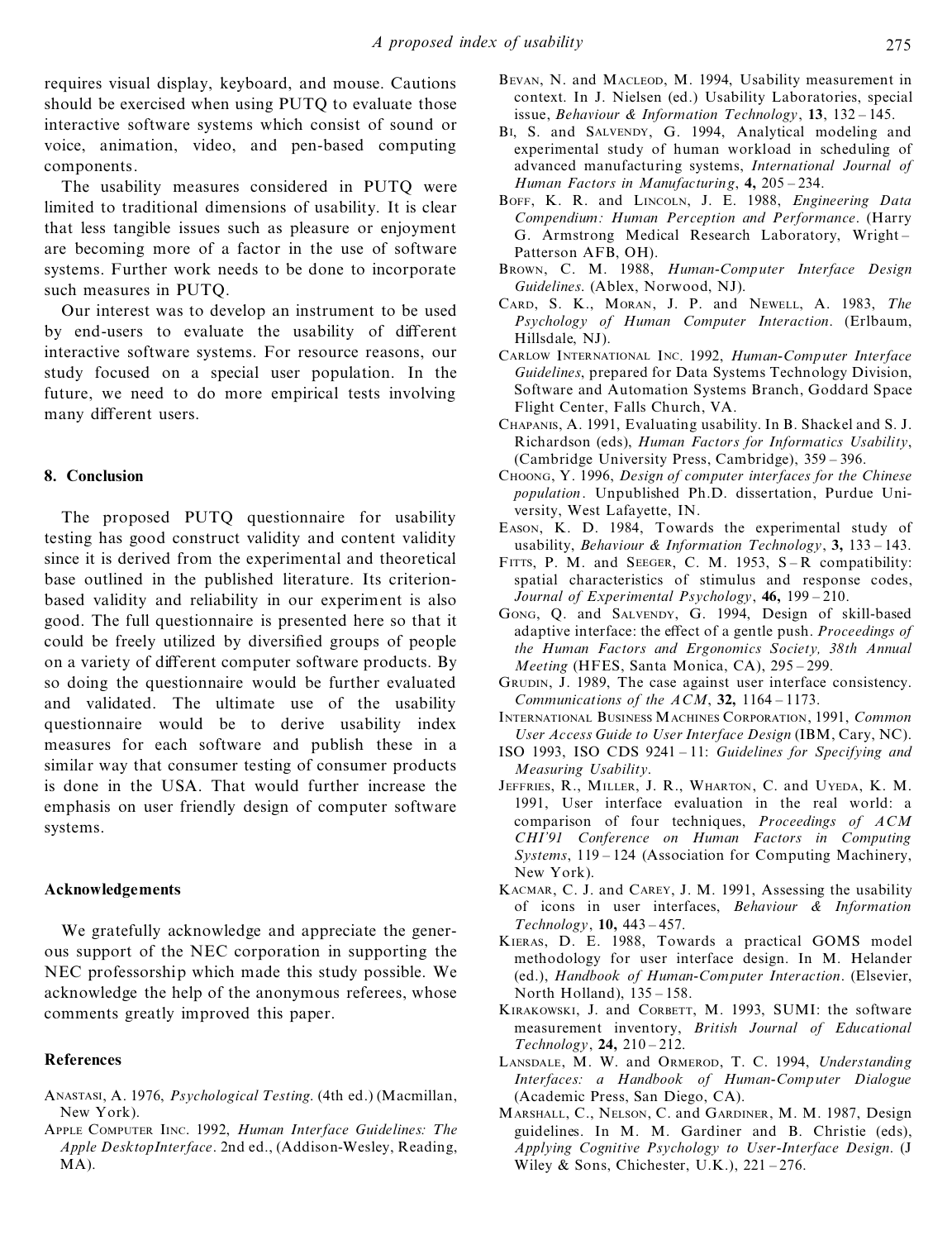requires visual display, keyboard, and mouse. Cautions should be exercised when using PUTQ to evaluate those interactive software systems which consist of sound or voice, animation, video, and pen-based computing components.

The usability measures considered in PUTQ were limited to traditional dimensions of usability. It is clear that less tangible issues such as pleasure or enjoyment are becoming more of a factor in the use of software systems. Further work needs to be done to incorporate such measures in PUTQ.

Our interest was to develop an instrument to be used by end-users to evaluate the usability of different interactive software systems. For resource reasons, our study focused on a special user population. In the future, we need to do more empirical tests involving many different users.

#### **8. Conclusion**

The proposed PUTQ questionnaire for usability testing has good construct validity and content validity since it is derived from the experimental and theoretical base outlined in the published literature. Its criterionbased validity and reliability in our experiment is also good. The full questionnaire is presented here so that it could be freely utilized by diversified groups of people on a variety of different computer software products. By so doing the questionnaire would be further evaluated and validated. The ultimate use of the usability questionnaire would be to derive usability index measures for each software and publish these in a similar way that consumer testing of consumer products is done in the USA. That would further increase the emphasis on user friendly design of computer software systems.

#### **Acknowledgements**

We gratefully acknowledge and appreciate the generous support of the NEC corporation in supporting the NEC professorship which made this study possible. We acknowledge the help of the anonymous referees, whose comments greatly improved this paper.

#### **References**

- ANASTASI, A. 1976, *Psychological Testing*. (4th ed.) (Macmillan, New York).
- APPLE COMPUTER IINC. 1992, *Human Interface Guidelines: The Apple DesktopInterface*. 2nd ed., (Addison-Wesley, Reading, MA).
- BEVAN, N. and MACLEOD, M. 1994, Usability measurement in context. In J. Nielsen (ed.) Usability Laboratories, special issue, *Behaviour* & *Information Technology*, 13, 132 - 145.
- B<sub>I</sub>, S. and SALVENDY, G. 1994. Analytical modeling and experimental study of human workload in scheduling of advanced manufacturing systems, *International Journal of Human Factors in Manufacturing*,  $4$ ,  $205 - 234$ .
- BOFF, K. R. and LINCOLN, J. E. 1988, *Engineering Data Compendium: Human Perception and Performance*. (Harry G. Armstrong Medical Research Laboratory, Wright-Patterson AFB, OH).
- BROWN, C. M. 1988, *Human-Computer Interface Design Guidelines*. (Ablex, Norwood, NJ).
- CARD, S. K., MORAN, J. P. and NEWELL, A. 1983, *The Psychology of Human Computer Interaction*. (Erlbaum, Hillsdale, NJ).
- CARLOW INTERNATIONAL INC. 1992, *Human-Computer Interface Guidelines*, prepared for Data Systems Technology Division, Software and Automation Systems Branch, Goddard Space Flight Center, Falls Church, VA.
- CHAPANIS, A. 1991, Evaluating usability. In B. Shackel and S. J. Richardson (eds), *Human Factors for Informatics Usability*,  $(Cambridge University Press, Cambridge), 359 - 396.$
- CHOONG, Y. 1996, *Design of computer interfaces for the Chinese population*. Unpublished Ph.D. dissertation, Purdue University, West Lafayette, IN.
- EASON, K. D. 1984, Towards the experimental study of usability, *Behaviour* & *Information Technology*, 3, 133 – 143.
- FITTS, P. M. and SEEGER, C. M. 1953, S-R compatibility: spatial characteristics of stimulus and response codes, *Journal of Experimental Psychology*, 46, 199 - 210.
- GONG, Q. and SALVENDY, G. 1994, Design of skill-based adaptive interface: the effect of a gentle push. *Proceedings of the Human Factors and Ergonomics Society, 38th Annual Meeting* (HFES, Santa Monica, CA), 295-299.
- GRUDIN, J. 1989, The case against user interface consistency. *Communications of the*  $ACM$ *, 32, 1164 – 1173.*
- INTERNATIONAL BUSINESS MACHINES CORPORATION, 1991, *Common User Access Guide to User Interface Design* (IBM, Cary, NC).
- ISO 1993, ISO CDS 9241-11: *Guidelines for Specifying and Measuring Usability*.
- JEFFRIES, R., MILLER, J. R., WHARTON, C. and UYEDA, K. M. 1991, User interface evaluation in the real world: a comparison of four techniques, *Proceedings of ACM CHI'91 Conference on Human Factors in Computing Systems*, 119 – 124 (Association for Computing Machinery, New York).
- KACMAR, C. J. and CAREY, J. M. 1991, Assessing the usability of icons in user interfaces, *Behaviour & Information Technology*, **10**, 443 - 457.
- KIERAS, D. E. 1988, Towards a practical GOMS model methodology for user interface design. In M. Helander (ed.), *Handbook of Human-Computer Interaction*. (Elsevier, North Holland),  $135 - 158$ .
- KIRAKOWSKI, J. and CORBETT, M. 1993, SUMI: the software measurement inventory, *British Journal of Educational*  $Technology, 24, 210 - 212.$
- LANSDALE, M. W. and ORMEROD, T. C. 1994, *Understanding Interfaces: a Handbook of Human-Computer Dialogue* (Academic Press, San Diego, CA).
- MARSHALL, C., NELSON, C. and GARDINER, M. M. 1987, Design guidelines. In M. M. Gardiner and B. Christie (eds), *Applying Cognitive Psychology to User-Interface Design*. (J Wiley & Sons, Chichester, U.K.),  $221 - 276$ .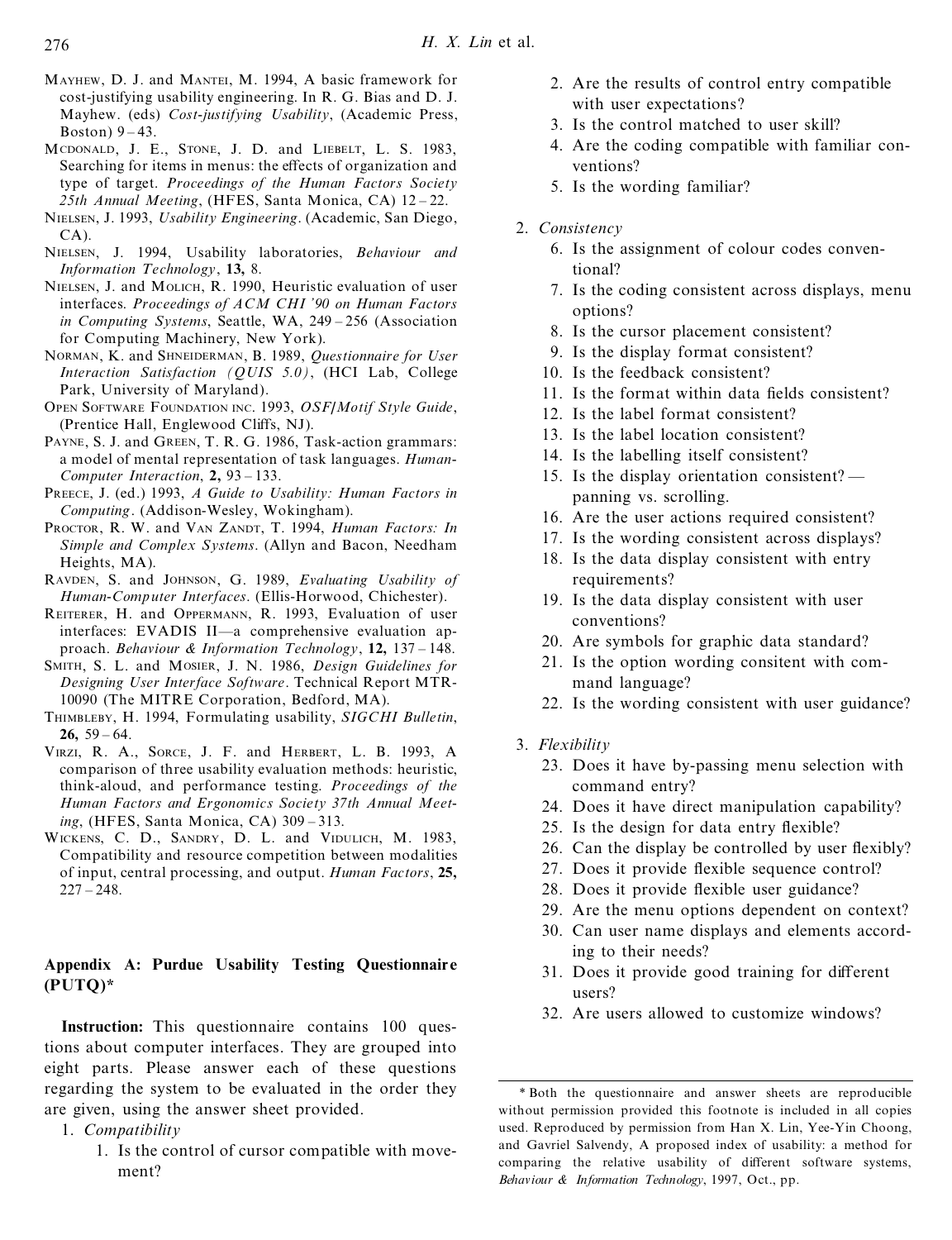- MAYHEW, D. J. and MANTEI, M. 1994, A basic framework for cost-justifying usability engineering. In R. G. Bias and D. J. Mayhew. (eds) *Cost-justifying Usability*, (Academic Press, Boston)  $9-43$ .
- MCDONALD, J. E., STONE, J. D. and LIEBELT, L. S. 1983, Searching for items in menus: the effects of organization and type of target. *Proceedings of the Human Factors Society* 25th *Annual Meeting*, (HFES, Santa Monica, CA) 12-22.
- NIELSEN, J. 1993, *Usability Engineering*. (Academic, San Diego,  $CA$ ).
- NIELSEN, J. 1994, Usability laboratories, *Behaviour and Information Technology*, **13,** 8.
- NIELSEN, J. and MOLICH, R. 1990, Heuristic evaluation of user interfaces. *Proceedings of ACM CHI ' 90 on Human Factors in Computing Systems*, Seattle, WA, 249 – 256 (Association for Computing Machinery, New York).
- NORMAN, K. and SHNEIDERMAN, B. 1989, *Questionnaire for User Interaction Satisfaction (QUIS 5.0)*, (HCI Lab, College Park, University of Maryland).
- OPEN SOFTWARE FOUNDATION INC. 1993, *OSF/Motif Style Guide*, (Prentice Hall, Englewood Cliffs, NJ).
- PAYNE, S. J. and GREEN, T. R. G. 1986, Task-action grammars: a model of mental representation of task languages. *Human-Computer Interaction*, 2, 93 – 133.
- PREECE, J. (ed.) 1993, *A Guide to Usability: Human Factors in Computing*. (Addison-Wesley, Wokingham).
- PROCTOR, R. W. and VAN ZANDT, T. 1994, *Human Factors: In Simple and Complex Systems*. (Allyn and Bacon, Needham Heights, MA).
- RAVDEN, S. and JOHNSON, G. 1989, *Evaluating Usability of Human-Computer Interfaces*. (Ellis-Horwood, Chichester).
- REITERER, H. and OPPERMANN, R. 1993, Evaluation of user interfaces: EVADIS II—a comprehensive evaluation approach. *Behaviour & Information Technology*, 12, 137 – 148.
- SMITH, S. L. and MOSIER, J. N. 1986, *Design Guidelines for Designing User Interface Software*. Technical Report MTR-10090 (The MITRE Corporation, Bedford, MA).
- THIMBLEBY, H. 1994, Formulating usability, *SIGCHI Bulletin*, **26.**  $59 - 64$ .
- VIRZI, R. A., SORCE, J. F. and HERBERT, L. B. 1993, A comparison of three usability evaluation methods: heuristic, think-aloud, and performance testing. *Proceedings of the Human Factors and Ergonomics Society 37th Annual Meeting*, (HFES, Santa Monica, CA) 309 - 313.
- WICKENS, C. D., SANDRY, D. L. and VIDULICH, M. 1983, Compatibility and resource competition between modalities of input, central processing, and output. *Human Factors*, **25,**  $227 - 248.$

## **Appendix A: Purdue Usability Testing Questionnair e (PUTQ)\***

**Instruction:** This questionnaire contains 100 questions about computer interfaces. They are grouped into eight parts. Please answer each of these questions regarding the system to be evaluated in the order they are given, using the answer sheet provided.

1. *Compatibility*

1. Is the control of cursor compatible with movement?

- 2. Are the results of control entry compatible with user expectations?
- 3. Is the control matched to user skill?
- 4. Are the coding compatible with familiar conventions?
- 5. Is the wording familiar?
- 2. *Consistency*
	- 6. Is the assignment of colour codes conventional?
	- 7. Is the coding consistent across displays, menu options?
	- 8. Is the cursor placement consistent?
	- 9. Is the display format consistent?
	- 10. Is the feedback consistent?
	- 11. Is the format within data fields consistent?
	- 12. Is the label format consistent?
	- 13. Is the label location consistent?
	- 14. Is the labelling itself consistent?
	- 15. Is the display orientation consistent? panning vs. scrolling.
	- 16. Are the user actions required consistent?
	- 17. Is the wording consistent across displays?
	- 18. Is the data display consistent with entry requirements?
	- 19. Is the data display consistent with user conventions?
	- 20. Are symbols for graphic data standard?
	- 21. Is the option wording consitent with command language?
	- 22. Is the wording consistent with user guidance?
- 3. *Flexibility*
	- 23. Does it have by-passing menu selection with command entry?
	- 24. Does it have direct manipulation capability?
	- 25. Is the design for data entry flexible?
	- 26. Can the display be controlled by user flexibly?
	- 27. Does it provide flexible sequence control?
	- 28. Does it provide flexible user guidance?
	- 29. Are the menu options dependent on context?
	- 30. Can user name displays and elements according to their needs?
	- 31. Does it provide good training for different users?
	- 32. Are users allowed to customize windows?

<sup>\*</sup> Both the questionnaire and answer sheets are reproducible without permission provided this footnote is included in all copies used. Reproduced by permission from Han X. Lin, Yee-Yin Choong, and Gavriel Salvendy, A proposed index of usability: a method for comparing the relative usability of different software systems, *Behaviour & Information Technology*, 1997, Oct., pp.